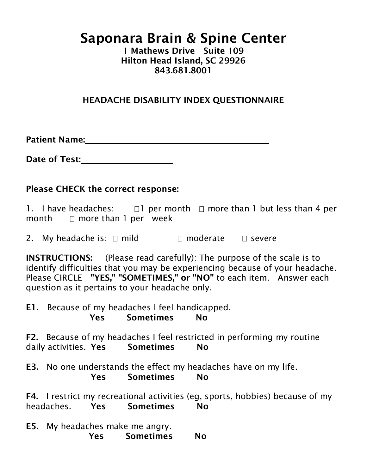## Saponara Brain & Spine Center

1 Mathews Drive Suite 109 Hilton Head Island, SC 29926 843.681.8001

## HEADACHE DISABILITY INDEX QUESTIONNAIRE

Patient Name:

Date of Test:

## Please CHECK the correct response:

1. I have headaches:  $\Box$  per month  $\Box$  more than 1 but less than 4 per month  $\Box$  more than 1 per week

2. My headache is:  $\Box$  mild  $\Box$  moderate  $\Box$  severe

INSTRUCTIONS: (Please read carefully): The purpose of the scale is to identify difficulties that you may be experiencing because of your headache. Please CIRCLE "YES," "SOMETIMES," or "NO" to each item. Answer each question as it pertains to your headache only.

E1. Because of my headaches I feel handicapped. Yes Sometimes No

F2. Because of my headaches I feel restricted in performing my routine daily activities. Yes Sometimes No

E3. No one understands the effect my headaches have on my life. Yes Sometimes No

F4. I restrict my recreational activities (eg, sports, hobbies) because of my headaches. Yes Sometimes No

E5. My headaches make me angry. Yes Sometimes No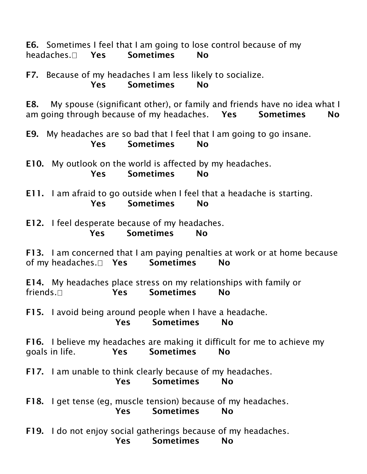E6. Sometimes I feel that I am going to lose control because of my headaches. I Yes Sometimes No

F7. Because of my headaches I am less likely to socialize. Yes Sometimes No

E8. My spouse (significant other), or family and friends have no idea what I am going through because of my headaches. Yes Sometimes No

E9. My headaches are so bad that I feel that I am going to go insane. Yes Sometimes No

E10. My outlook on the world is affected by my headaches. Yes Sometimes No

E11. I am afraid to go outside when I feel that a headache is starting. Yes Sometimes No

E12. I feel desperate because of my headaches. Yes Sometimes No

F13. I am concerned that I am paying penalties at work or at home because of my headaches. I Yes Sometimes No

E14. My headaches place stress on my relationships with family or friends. The Sometimes No

F15. I avoid being around people when I have a headache. Yes Sometimes No

F16. I believe my headaches are making it difficult for me to achieve my goals in life. Yes Sometimes No

F17. I am unable to think clearly because of my headaches. Yes Sometimes No

F18. I get tense (eg, muscle tension) because of my headaches. Yes Sometimes No

F19. I do not enjoy social gatherings because of my headaches. Yes Sometimes No